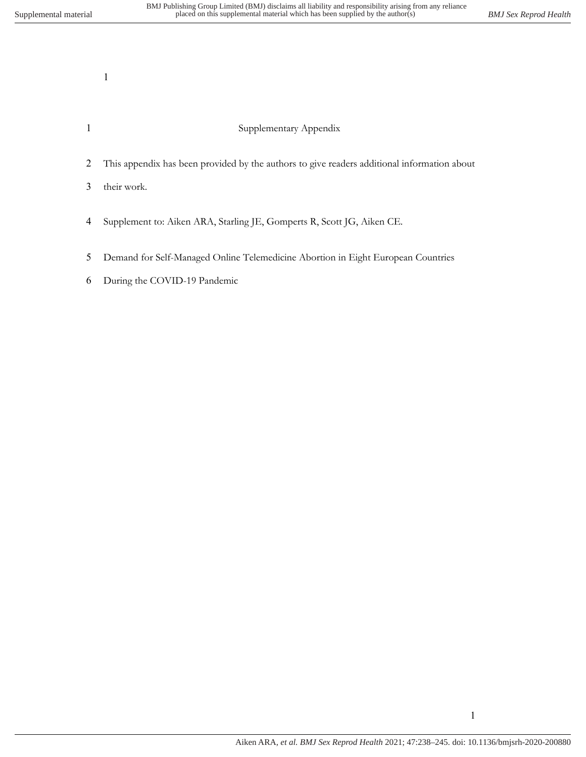## Supplementary Appendix

This appendix has been provided by the authors to give readers additional information about

their work.

- Supplement to: Aiken ARA, Starling JE, Gomperts R, Scott JG, Aiken CE.
- Demand for Self-Managed Online Telemedicine Abortion in Eight European Countries
- During the COVID-19 Pandemic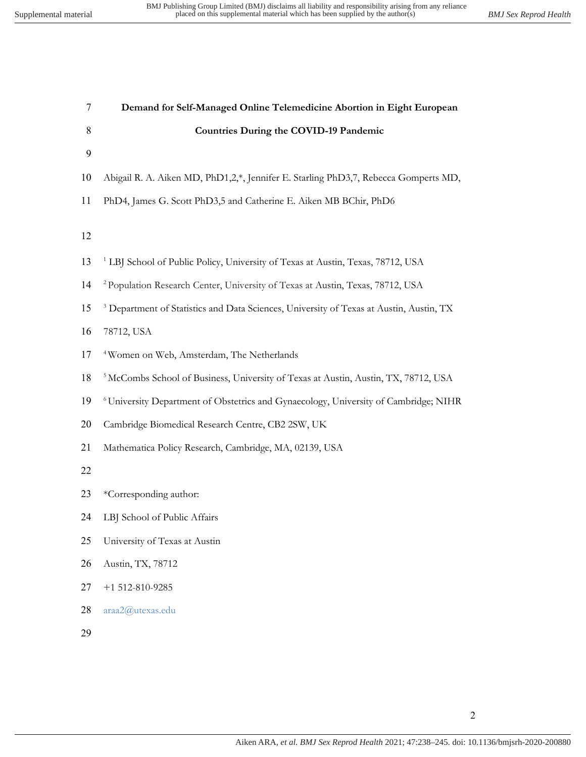| 7  | Demand for Self-Managed Online Telemedicine Abortion in Eight European                             |
|----|----------------------------------------------------------------------------------------------------|
| 8  | <b>Countries During the COVID-19 Pandemic</b>                                                      |
| 9  |                                                                                                    |
| 10 | Abigail R. A. Aiken MD, PhD1,2,*, Jennifer E. Starling PhD3,7, Rebecca Gomperts MD,                |
| 11 | PhD4, James G. Scott PhD3,5 and Catherine E. Aiken MB BChir, PhD6                                  |
|    |                                                                                                    |
| 12 |                                                                                                    |
| 13 | <sup>1</sup> LBJ School of Public Policy, University of Texas at Austin, Texas, 78712, USA         |
| 14 | <sup>2</sup> Population Research Center, University of Texas at Austin, Texas, 78712, USA          |
| 15 | <sup>3</sup> Department of Statistics and Data Sciences, University of Texas at Austin, Austin, TX |
| 16 | 78712, USA                                                                                         |
| 17 | <sup>4</sup> Women on Web, Amsterdam, The Netherlands                                              |
| 18 | <sup>5</sup> McCombs School of Business, University of Texas at Austin, Austin, TX, 78712, USA     |
| 19 | <sup>6</sup> University Department of Obstetrics and Gynaecology, University of Cambridge; NIHR    |
| 20 | Cambridge Biomedical Research Centre, CB2 2SW, UK                                                  |
| 21 | Mathematica Policy Research, Cambridge, MA, 02139, USA                                             |
| 22 |                                                                                                    |
| 23 | *Corresponding author:                                                                             |
| 24 | LBJ School of Public Affairs                                                                       |
| 25 | University of Texas at Austin                                                                      |
| 26 | Austin, TX, 78712                                                                                  |
| 27 | $+1$ 512-810-9285                                                                                  |
| 28 | araa2@utexas.edu                                                                                   |
| 29 |                                                                                                    |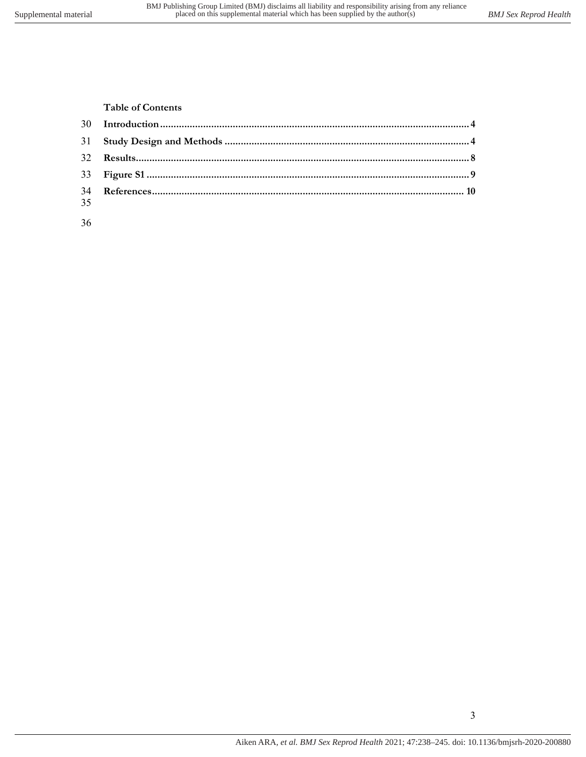**Table of Contents**

| 35 |  |
|----|--|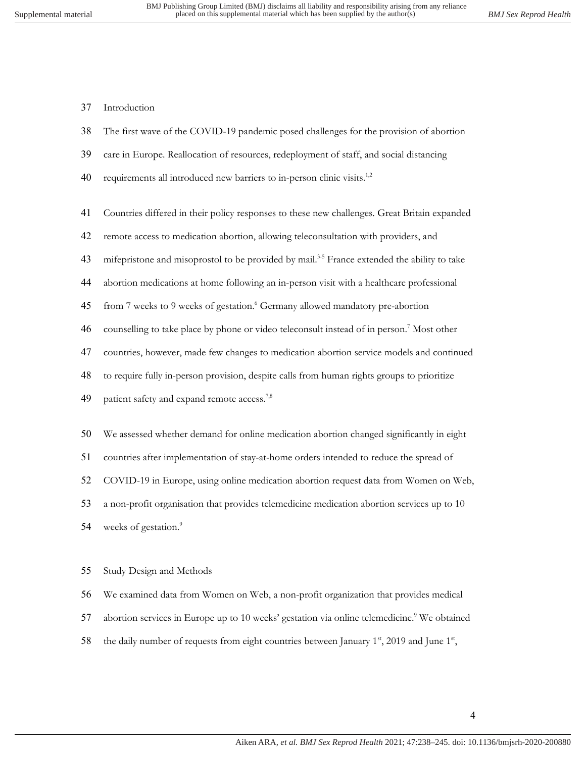## Introduction

- The first wave of the COVID-19 pandemic posed challenges for the provision of abortion
- care in Europe. Reallocation of resources, redeployment of staff, and social distancing
- 40 requirements all introduced new barriers to in-person clinic visits.<sup>1,2</sup>
- Countries differed in their policy responses to these new challenges. Great Britain expanded
- remote access to medication abortion, allowing teleconsultation with providers, and
- 43 mifepristone and misoprostol to be provided by mail.<sup>3-5</sup> France extended the ability to take
- abortion medications at home following an in-person visit with a healthcare professional
- 45 from 7 weeks to 9 weeks of gestation.<sup>6</sup> Germany allowed mandatory pre-abortion
- 46 counselling to take place by phone or video teleconsult instead of in person.<sup>7</sup> Most other
- countries, however, made few changes to medication abortion service models and continued
- to require fully in-person provision, despite calls from human rights groups to prioritize
- 49 patient safety and expand remote access.<sup>7,8</sup>
- We assessed whether demand for online medication abortion changed significantly in eight
- countries after implementation of stay-at-home orders intended to reduce the spread of
- COVID-19 in Europe, using online medication abortion request data from Women on Web,

a non-profit organisation that provides telemedicine medication abortion services up to 10

weeks of gestation.<sup>9</sup> 

## Study Design and Methods

We examined data from Women on Web, a non-profit organization that provides medical

- 57 abortion services in Europe up to 10 weeks' gestation via online telemedicine.<sup>9</sup> We obtained
- 58 the daily number of requests from eight countries between January  $1^{st}$ , 2019 and June  $1^{st}$ ,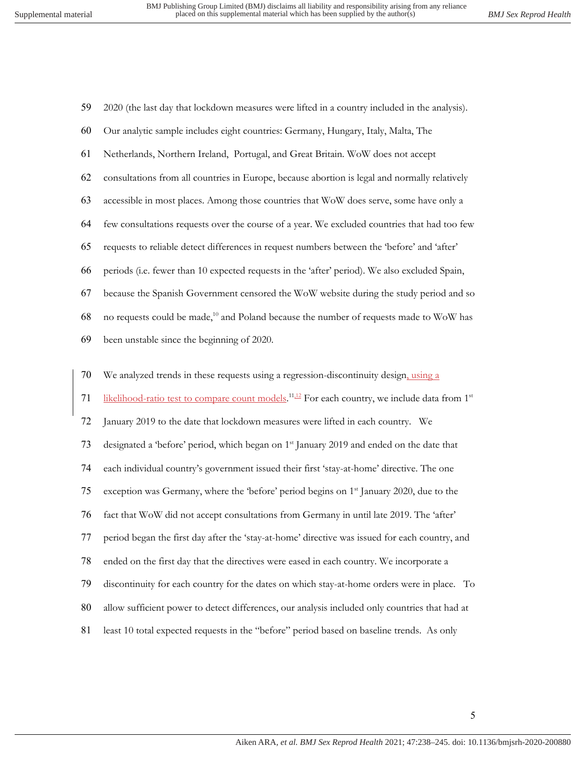| 59 | 2020 (the last day that lockdown measures were lifted in a country included in the analysis).                          |
|----|------------------------------------------------------------------------------------------------------------------------|
| 60 | Our analytic sample includes eight countries: Germany, Hungary, Italy, Malta, The                                      |
| 61 | Netherlands, Northern Ireland, Portugal, and Great Britain. WoW does not accept                                        |
| 62 | consultations from all countries in Europe, because abortion is legal and normally relatively                          |
| 63 | accessible in most places. Among those countries that WoW does serve, some have only a                                 |
| 64 | few consultations requests over the course of a year. We excluded countries that had too few                           |
| 65 | requests to reliable detect differences in request numbers between the 'before' and 'after'                            |
| 66 | periods (i.e. fewer than 10 expected requests in the 'after' period). We also excluded Spain,                          |
| 67 | because the Spanish Government censored the WoW website during the study period and so                                 |
| 68 | no requests could be made, <sup>10</sup> and Poland because the number of requests made to WoW has                     |
| 69 | been unstable since the beginning of 2020.                                                                             |
| 70 | We analyzed trends in these requests using a regression-discontinuity design, using a                                  |
|    |                                                                                                                        |
| 71 | likelihood-ratio test to compare count models. <sup>11,12</sup> For each country, we include data from 1 <sup>st</sup> |
| 72 | January 2019 to the date that lockdown measures were lifted in each country. We                                        |
| 73 | designated a 'before' period, which began on 1 <sup>st</sup> January 2019 and ended on the date that                   |
| 74 | each individual country's government issued their first 'stay-at-home' directive. The one                              |
| 75 | exception was Germany, where the 'before' period begins on 1 <sup>st</sup> January 2020, due to the                    |
| 76 | fact that WoW did not accept consultations from Germany in until late 2019. The 'after'                                |
| 77 | period began the first day after the 'stay-at-home' directive was issued for each country, and                         |
| 78 |                                                                                                                        |

discontinuity for each country for the dates on which stay-at-home orders were in place. To

- allow sufficient power to detect differences, our analysis included only countries that had at
- 81 least 10 total expected requests in the "before" period based on baseline trends. As only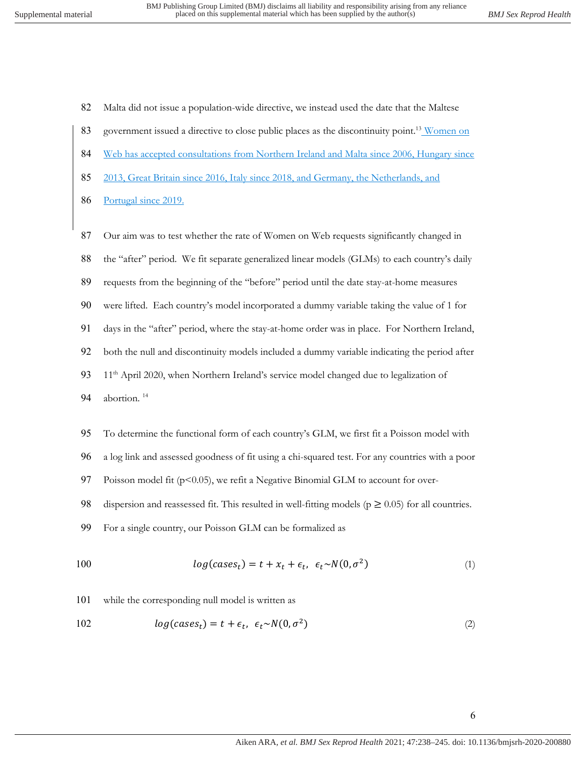82 Malta did not issue a population-wide directive, we instead used the date that the Maltese

- 83 government issued a directive to close public places as the discontinuity point.<sup>13</sup> Women on
- 84 Web has accepted consultations from Northern Ireland and Malta since 2006, Hungary since
- 85 2013, Great Britain since 2016, Italy since 2018, and Germany, the Netherlands, and
- 86 Portugal since 2019.
- 87 Our aim was to test whether the rate of Women on Web requests significantly changed in
- 88 the "after" period. We fit separate generalized linear models (GLMs) to each country's daily
- 89 requests from the beginning of the "before" period until the date stay-at-home measures
- 90 were lifted. Each country's model incorporated a dummy variable taking the value of 1 for
- 91 days in the "after" period, where the stay-at-home order was in place. For Northern Ireland,
- 92 both the null and discontinuity models included a dummy variable indicating the period after
- 93 11<sup>th</sup> April 2020, when Northern Ireland's service model changed due to legalization of
- 94 abortion.<sup>14</sup>
- 95 To determine the functional form of each country's GLM, we first fit a Poisson model with
- 96 a log link and assessed goodness of fit using a chi-squared test. For any countries with a poor
- 97 Poisson model fit (p<0.05), we refit a Negative Binomial GLM to account for over-

98 dispersion and reassessed fit. This resulted in well-fitting models ( $p \ge 0.05$ ) for all countries.

99 For a single country, our Poisson GLM can be formalized as

$$
log(cases_t) = t + x_t + \epsilon_t, \ \epsilon_t \sim N(0, \sigma^2)
$$
\n<sup>(1)</sup>

101 while the corresponding null model is written as

$$
log(cases_t) = t + \epsilon_t, \ \epsilon_t \sim N(0, \sigma^2)
$$
\n<sup>(2)</sup>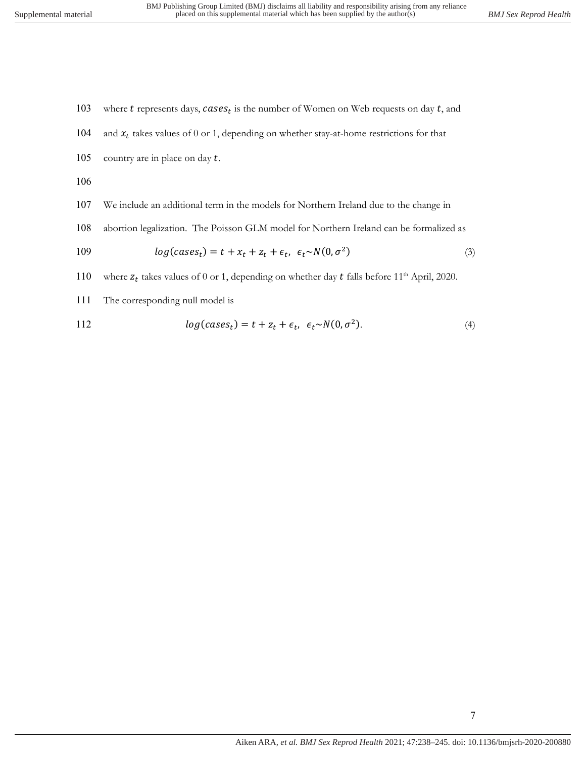- 103 where  $t$  represents days,  $cases_t$  is the number of Women on Web requests on day  $t$ , and 104 and  $x_t$  takes values of 0 or 1, depending on whether stay-at-home restrictions for that 105 country are in place on day  $t$ . 106
- 107 We include an additional term in the models for Northern Ireland due to the change in
- 108 abortion legalization. The Poisson GLM model for Northern Ireland can be formalized as

$$
log(cases_t) = t + x_t + z_t + \epsilon_t, \ \epsilon_t \sim N(0, \sigma^2)
$$
\n
$$
(3)
$$

110 where  $z_t$  takes values of 0 or 1, depending on whether day  $t$  falls before 11<sup>th</sup> April, 2020.

111 The corresponding null model is

112 
$$
log(cases_t) = t + z_t + \epsilon_t, \ \epsilon_t \sim N(0, \sigma^2).
$$
 (4)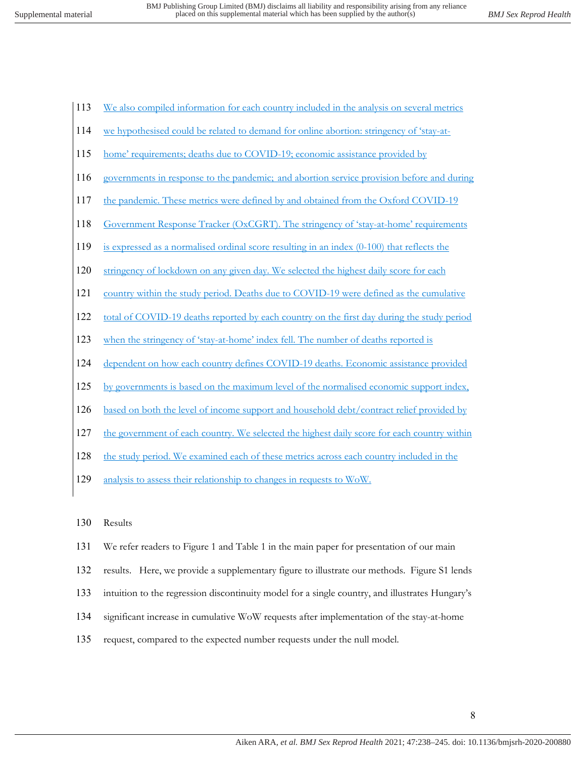- 113 We also compiled information for each country included in the analysis on several metrics
- 114 we hypothesised could be related to demand for online abortion: stringency of 'stay-at-
- 115 home' requirements; deaths due to COVID-19; economic assistance provided by
- 116 governments in response to the pandemic; and abortion service provision before and during
- 117 the pandemic. These metrics were defined by and obtained from the Oxford COVID-19
- 118 Government Response Tracker (OxCGRT). The stringency of 'stay-at-home' requirements
- 119 is expressed as a normalised ordinal score resulting in an index (0-100) that reflects the
- 120 stringency of lockdown on any given day. We selected the highest daily score for each
- 121 country within the study period. Deaths due to COVID-19 were defined as the cumulative
- 122 total of COVID-19 deaths reported by each country on the first day during the study period
- 123 when the stringency of 'stay-at-home' index fell. The number of deaths reported is
- 124 dependent on how each country defines COVID-19 deaths. Economic assistance provided
- 125 by governments is based on the maximum level of the normalised economic support index,
- 126 based on both the level of income support and household debt/contract relief provided by
- 127 the government of each country. We selected the highest daily score for each country within
- 128 the study period. We examined each of these metrics across each country included in the
- 129 analysis to assess their relationship to changes in requests to WoW.
- 130 Results
- 131 We refer readers to Figure 1 and Table 1 in the main paper for presentation of our main
- 132 results. Here, we provide a supplementary figure to illustrate our methods. Figure S1 lends
- 133 intuition to the regression discontinuity model for a single country, and illustrates Hungary's
- 134 significant increase in cumulative WoW requests after implementation of the stay-at-home
- 135 request, compared to the expected number requests under the null model.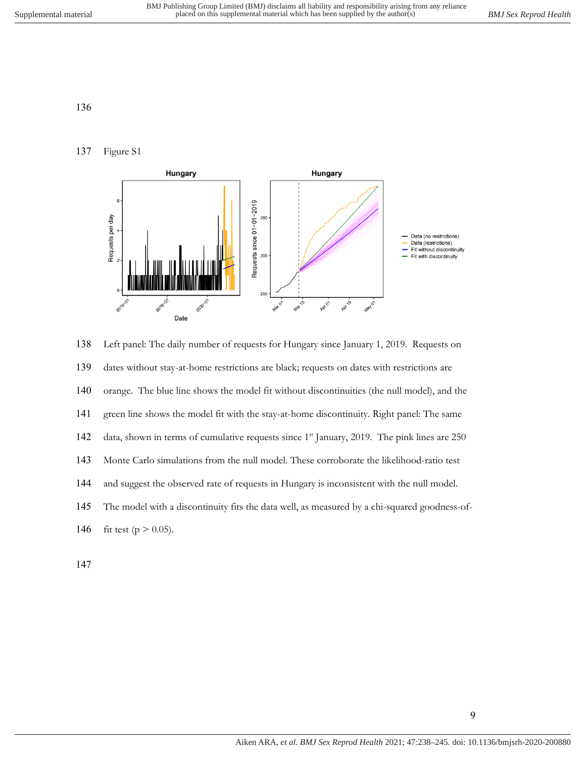## Figure S1



 Left panel: The daily number of requests for Hungary since January 1, 2019. Requests on dates without stay-at-home restrictions are black; requests on dates with restrictions are orange. The blue line shows the model fit without discontinuities (the null model), and the green line shows the model fit with the stay-at-home discontinuity. Right panel: The same 142 data, shown in terms of cumulative requests since 1<sup>st</sup> January, 2019. The pink lines are 250 Monte Carlo simulations from the null model. These corroborate the likelihood-ratio test and suggest the observed rate of requests in Hungary is inconsistent with the null model. The model with a discontinuity fits the data well, as measured by a chi-squared goodness-of-146 fit test ( $p > 0.05$ ).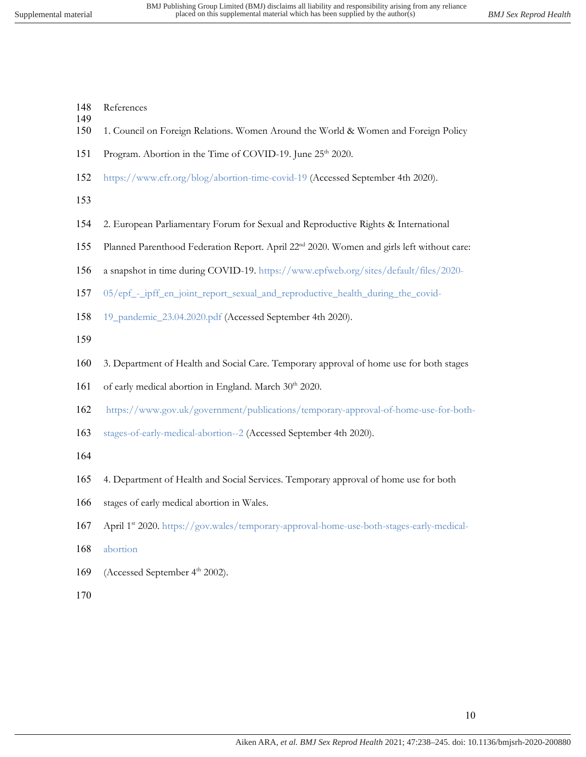- References
- 1. Council on Foreign Relations. Women Around the World & Women and Foreign Policy
- 151 Program. Abortion in the Time of COVID-19. June 25<sup>th</sup> 2020.
- https://www.cfr.org/blog/abortion-time-covid-19 (Accessed September 4th 2020).
- 

- 2. European Parliamentary Forum for Sexual and Reproductive Rights & International
- 155 Planned Parenthood Federation Report. April 22<sup>nd</sup> 2020. Women and girls left without care:
- a snapshot in time during COVID-19. https://www.epfweb.org/sites/default/files/2020-
- 05/epf\_-\_ipff\_en\_joint\_report\_sexual\_and\_reproductive\_health\_during\_the\_covid-
- 19\_pandemic\_23.04.2020.pdf (Accessed September 4th 2020).
- 
- 3. Department of Health and Social Care. Temporary approval of home use for both stages
- 161 of early medical abortion in England. March 30<sup>th</sup> 2020.
- https://www.gov.uk/government/publications/temporary-approval-of-home-use-for-both-
- stages-of-early-medical-abortion--2 (Accessed September 4th 2020).
- 
- 4. Department of Health and Social Services. Temporary approval of home use for both
- stages of early medical abortion in Wales.
- 167 April 1st 2020. https://gov.wales/temporary-approval-home-use-both-stages-early-medical-
- abortion
- 169 (Accessed September 4<sup>th</sup> 2002).
-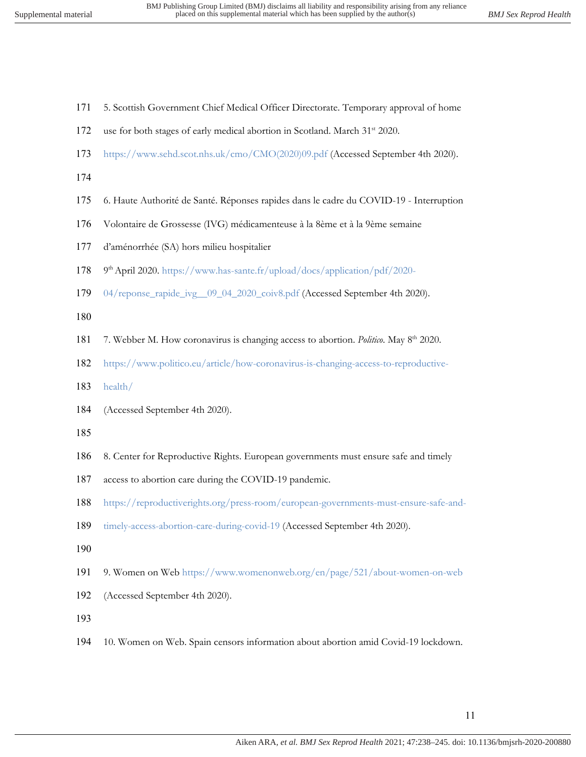- 5. Scottish Government Chief Medical Officer Directorate. Temporary approval of home
- 172 use for both stages of early medical abortion in Scotland. March  $31<sup>st</sup>$  2020.
- https://www.sehd.scot.nhs.uk/cmo/CMO(2020)09.pdf (Accessed September 4th 2020).
- 
- 6. Haute Authorité de Santé. Réponses rapides dans le cadre du COVID-19 Interruption
- Volontaire de Grossesse (IVG) médicamenteuse à la 8ème et à la 9ème semaine
- d'aménorrhée (SA) hors milieu hospitalier
- 178 9<sup>th</sup> April 2020. https://www.has-sante.fr/upload/docs/application/pdf/2020-
- 04/reponse\_rapide\_ivg\_\_09\_04\_2020\_coiv8.pdf (Accessed September 4th 2020).
- 
- 7. Webber M. How coronavirus is changing access to abortion. *Politico*. May 8th 2020.
- https://www.politico.eu/article/how-coronavirus-is-changing-access-to-reproductive-
- health/
- (Accessed September 4th 2020).
- 
- 8. Center for Reproductive Rights. European governments must ensure safe and timely
- access to abortion care during the COVID-19 pandemic.
- https://reproductiverights.org/press-room/european-governments-must-ensure-safe-and-
- timely-access-abortion-care-during-covid-19 (Accessed September 4th 2020).
- 
- 9. Women on Web https://www.womenonweb.org/en/page/521/about-women-on-web
- (Accessed September 4th 2020).
- 
- 10. Women on Web. Spain censors information about abortion amid Covid-19 lockdown.